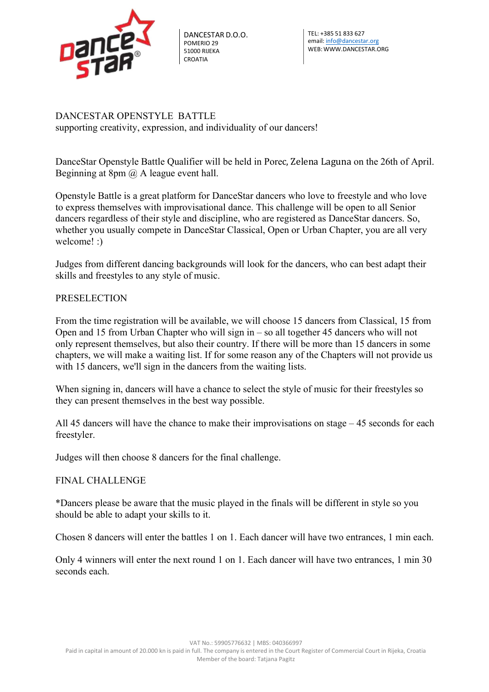

DANCESTAR D.O.O. POMERIO 29 51000 RIJEKA CROATIA

DANCESTAR OPENSTYLE BATTLE supporting creativity, expression, and individuality of our dancers!

DanceStar Openstyle Battle Qualifier will be held in Porec, Zelena Laguna on the 26th of April. Beginning at 8pm @ A league event hall.

Openstyle Battle is a great platform for DanceStar dancers who love to freestyle and who love to express themselves with improvisational dance. This challenge will be open to all Senior dancers regardless of their style and discipline, who are registered as DanceStar dancers. So, whether you usually compete in DanceStar Classical, Open or Urban Chapter, you are all very welcome! :)

Judges from different dancing backgrounds will look for the dancers, who can best adapt their skills and freestyles to any style of music.

## PRESELECTION

From the time registration will be available, we will choose 15 dancers from Classical, 15 from Open and 15 from Urban Chapter who will sign in – so all together 45 dancers who will not only represent themselves, but also their country. If there will be more than 15 dancers in some chapters, we will make a waiting list. If for some reason any of the Chapters will not provide us with 15 dancers, we'll sign in the dancers from the waiting lists.

When signing in, dancers will have a chance to select the style of music for their freestyles so they can present themselves in the best way possible.

All 45 dancers will have the chance to make their improvisations on stage – 45 seconds for each freestyler.

Judges will then choose 8 dancers for the final challenge.

## FINAL CHALLENGE

\*Dancers please be aware that the music played in the finals will be different in style so you should be able to adapt your skills to it.

Chosen 8 dancers will enter the battles 1 on 1. Each dancer will have two entrances, 1 min each.

Only 4 winners will enter the next round 1 on 1. Each dancer will have two entrances, 1 min 30 seconds each.